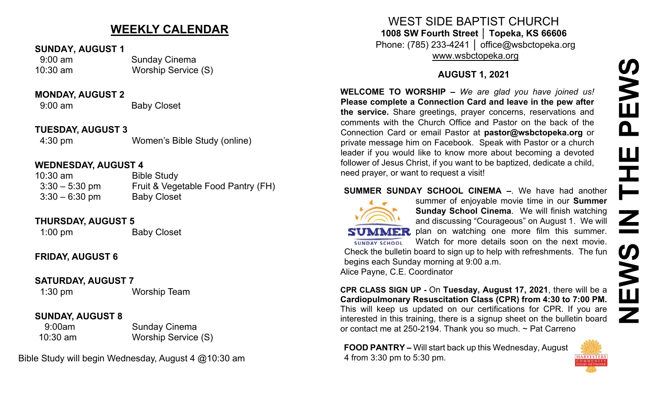# **NEWS IN THE PEWS**PEWS **THE** Z **SD** Š<br>⊟ Ζ

# **WEEKLY CALENDAR**

#### **SUNDAY, AUGUST 1**

 9:00 am Sunday Cinema 10:30 am Worship Service (S)

#### **MONDAY, AUGUST 2**

9:00 am Baby Closet

#### **TUESDAY, AUGUST 3**

4:30 pm Women's Bible Study (online)

#### **WEDNESDAY, AUGUST 4**

| $10:30$ am       | <b>Bible Study</b>                 |
|------------------|------------------------------------|
| $3:30 - 5:30$ pm | Fruit & Vegetable Food Pantry (FH) |
| $3:30 - 6:30$ pm | <b>Baby Closet</b>                 |

#### **THURSDAY, AUGUST 5**

1:00 pm Baby Closet

# **FRIDAY, AUGUST 6**

## **SATURDAY, AUGUST 7**

1:30 pm Worship Team

## **SUNDAY, AUGUST 8**

9:00am Sunday Cinema 10:30 am Worship Service (S)

Bible Study will begin Wednesday, August 4 @10:30 am

WEST SIDE BAPTIST CHURCH **1008 SW Fourth Street │ Topeka, KS 66606** Phone: (785) 233-4241 │ office@wsbctopeka.org

[www.wsbctopeka.org](http://www.wsbctopeka.org/)

# **AUGUST 1, 2021**

**WELCOME TO WORSHIP –** *We are glad you have joined us!* **Please complete a Connection Card and leave in the pew after the service.** Share greetings, prayer concerns, reservations and comments with the Church Office and Pastor on the back of the Connection Card or email Pastor at **pastor@wsbctopeka.org** or private message him on Facebook. [S](https://www.facebook.com/ivangreuter.)peak with Pastor or a church leader if you would like to know more about becoming a devoted follower of Jesus Christ, if you want to be baptized, dedicate a child, need prayer, or want to request a visit!

## **SUMMER SUNDAY SCHOOL CINEMA –**. We have had another



**SUNDAY SCHOOL** 

summer of enjoyable movie time in our **Summer Sunday School Cinema**. We will finish watching and discussing "Courageous" on August 1. We will **SUMMER** plan on watching one more film this summer. Watch for more details soon on the next movie. Check the bulletin board to sign up to help with refreshments. The fun

begins each Sunday morning at 9:00 a.m. Alice Payne, C.E. Coordinator

**CPR CLASS SIGN UP -** On **Tuesday, August 17, 2021**, there will be a **Cardiopulmonary Resuscitation Class (CPR) from 4:30 to 7:00 PM.** This will keep us updated on our certifications for CPR. If you are interested in this training, there is a signup sheet on the bulletin board or contact me at 250-2194. Thank you so much. ~ Pat Carreno

**FOOD PANTRY –** Will start back up this Wednesday, August 4 from 3:30 pm to 5:30 pm.

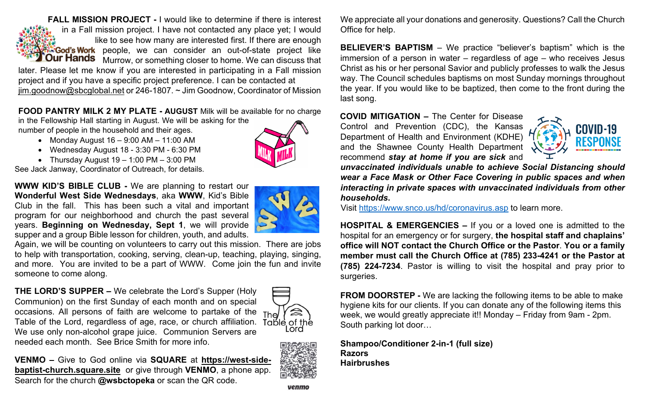**FALL MISSION PROJECT -** I would like to determine if there is interest in a Fall mission project. I have not contacted any place yet; I would like to see how many are interested first. If there are enough **Cod's Work** people, we can consider an out-of-state project like **Our Hands** Murrow, or something closer to home. We can discuss that later. Please let me know if you are interested in participating in a Fall mission

project and if you have a specific project preference. I can be contacted at [jim.goodnow@sbcglobal.net](mailto:jim.goodnow@sbcglobal.net) or 246-1807. ~ Jim Goodnow, Coordinator of Mission

**FOOD PANTRY MILK 2 MY PLATE - AUGUST** Milk will be available for no charge

in the Fellowship Hall starting in August. We will be asking for the number of people in the household and their ages.

- Monday August 16 9:00 AM 11:00 AM
- Wednesday August 18 3:30 PM 6:30 PM
- Thursday August  $19 1:00 \text{ PM} 3:00 \text{ PM}$

See Jack Janway, Coordinator of Outreach, for details.

**WWW KID'S BIBLE CLUB -** We are planning to restart our **Wonderful West Side Wednesdays**, aka **WWW**, Kid's Bible Club in the fall. This has been such a vital and important program for our neighborhood and church the past several years. **Beginning on Wednesday, Sept 1**, we will provide supper and a group Bible lesson for children, youth, and adults.



Again, we will be counting on volunteers to carry out this mission. There are jobs to help with transportation, cooking, serving, clean-up, teaching, playing, singing, and more. You are invited to be a part of WWW. Come join the fun and invite someone to come along.

**THE LORD'S SUPPER –** We celebrate the Lord's Supper (Holy Communion) on the first Sunday of each month and on special occasions. All persons of faith are welcome to partake of the The Table of the Lord, regardless of age, race, or church affiliation. We use only non-alcohol grape juice.Communion Servers are needed each month. See Brice Smith for more info.



**VENMO –** Give to God online via **SQUARE** at **[https://west](https://west-side-baptist-church.square.site/)-sidebaptist-[church.square.site](https://west-side-baptist-church.square.site/)** or give through **VENMO**, a phone app. Search for the church **@wsbctopeka** or scan the QR code.



We appreciate all your donations and generosity. Questions? Call the Church Office for help.

**BELIEVER'S BAPTISM** – We practice "believer's baptism" which is the immersion of a person in water – regardless of age – who receives Jesus Christ as his or her personal Savior and publicly professes to walk the Jesus way. The Council schedules baptisms on most Sunday mornings throughout the year. If you would like to be baptized, then come to the front during the last song.

**COVID MITIGATION –** The Center for Disease

Control and Prevention (CDC), the Kansas Department of Health and Environment (KDHE) and the Shawnee County Health Department recommend *stay at home if you are sick* and



*unvaccinated individuals unable to achieve Social Distancing should wear a Face Mask or Other Face Covering in public spaces and when interacting in private spaces with unvaccinated individuals from other households***.**

Visit <https://www.snco.us/hd/coronavirus.asp> to learn more.

**HOSPITAL & EMERGENCIES –** If you or a loved one is admitted to the hospital for an emergency or for surgery, **the hospital staff and chaplains' office will NOT contact the Church Office or the Pastor**. **You or a family member must call the Church Office at (785) 233-4241 or the Pastor at (785) 224-7234**. Pastor is willing to visit the hospital and pray prior to surgeries.

**FROM DOORSTEP -** We are lacking the following items to be able to make hygiene kits for our clients. If you can donate any of the following items this week, we would greatly appreciate it!! Monday – Friday from 9am - 2pm. South parking lot door…

**Shampoo/Conditioner 2-in-1 (full size) Razors Hairbrushes**